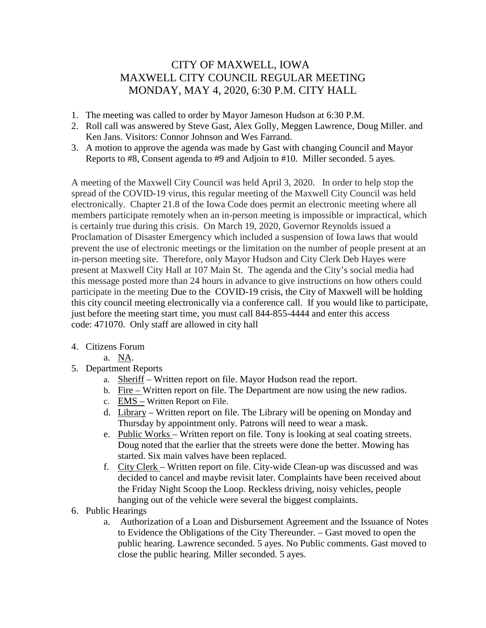## CITY OF MAXWELL, IOWA MAXWELL CITY COUNCIL REGULAR MEETING MONDAY, MAY 4, 2020, 6:30 P.M. CITY HALL

- 1. The meeting was called to order by Mayor Jameson Hudson at 6:30 P.M.
- 2. Roll call was answered by Steve Gast, Alex Golly, Meggen Lawrence, Doug Miller. and Ken Jans. Visitors: Connor Johnson and Wes Farrand.
- 3. A motion to approve the agenda was made by Gast with changing Council and Mayor Reports to #8, Consent agenda to #9 and Adjoin to #10. Miller seconded. 5 ayes.

A meeting of the Maxwell City Council was held April 3, 2020. In order to help stop the spread of the COVID-19 virus, this regular meeting of the Maxwell City Council was held electronically. Chapter 21.8 of the Iowa Code does permit an electronic meeting where all members participate remotely when an in-person meeting is impossible or impractical, which is certainly true during this crisis. On March 19, 2020, Governor Reynolds issued a Proclamation of Disaster Emergency which included a suspension of Iowa laws that would prevent the use of electronic meetings or the limitation on the number of people present at an in-person meeting site. Therefore, only Mayor Hudson and City Clerk Deb Hayes were present at Maxwell City Hall at 107 Main St. The agenda and the City's social media had this message posted more than 24 hours in advance to give instructions on how others could participate in the meeting Due to the COVID-19 crisis, the City of Maxwell will be holding this city council meeting electronically via a conference call. If you would like to participate, just before the meeting start time, you must call 844-855-4444 and enter this access code: 471070. Only staff are allowed in city hall

## 4. Citizens Forum

- a. NA.
- 5. Department Reports
	- a. Sheriff Written report on file. Mayor Hudson read the report.
	- b. Fire Written report on file. The Department are now using the new radios.
	- c. EMS Written Report on File.
	- d. Library Written report on file. The Library will be opening on Monday and Thursday by appointment only. Patrons will need to wear a mask.
	- e. Public Works Written report on file. Tony is looking at seal coating streets. Doug noted that the earlier that the streets were done the better. Mowing has started. Six main valves have been replaced.
	- f. City Clerk Written report on file. City-wide Clean-up was discussed and was decided to cancel and maybe revisit later. Complaints have been received about the Friday Night Scoop the Loop. Reckless driving, noisy vehicles, people hanging out of the vehicle were several the biggest complaints.
- 6. Public Hearings
	- a. Authorization of a Loan and Disbursement Agreement and the Issuance of Notes to Evidence the Obligations of the City Thereunder. – Gast moved to open the public hearing. Lawrence seconded. 5 ayes. No Public comments. Gast moved to close the public hearing. Miller seconded. 5 ayes.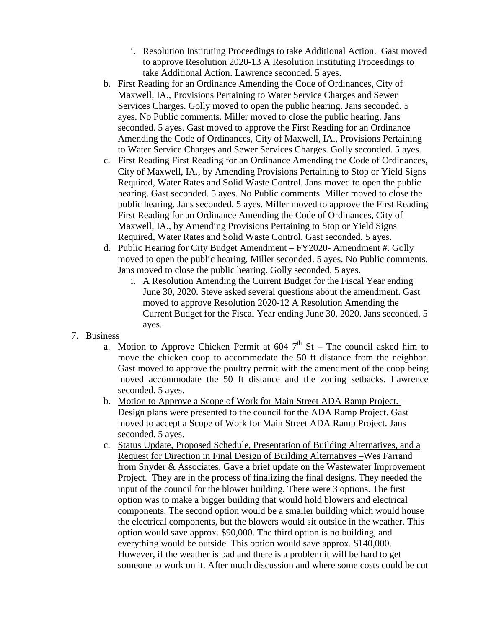- i. Resolution Instituting Proceedings to take Additional Action. Gast moved to approve Resolution 2020-13 A Resolution Instituting Proceedings to take Additional Action. Lawrence seconded. 5 ayes.
- b. First Reading for an Ordinance Amending the Code of Ordinances, City of Maxwell, IA., Provisions Pertaining to Water Service Charges and Sewer Services Charges. Golly moved to open the public hearing. Jans seconded. 5 ayes. No Public comments. Miller moved to close the public hearing. Jans seconded. 5 ayes. Gast moved to approve the First Reading for an Ordinance Amending the Code of Ordinances, City of Maxwell, IA., Provisions Pertaining to Water Service Charges and Sewer Services Charges. Golly seconded. 5 ayes.
- c. First Reading First Reading for an Ordinance Amending the Code of Ordinances, City of Maxwell, IA., by Amending Provisions Pertaining to Stop or Yield Signs Required, Water Rates and Solid Waste Control. Jans moved to open the public hearing. Gast seconded. 5 ayes. No Public comments. Miller moved to close the public hearing. Jans seconded. 5 ayes. Miller moved to approve the First Reading First Reading for an Ordinance Amending the Code of Ordinances, City of Maxwell, IA., by Amending Provisions Pertaining to Stop or Yield Signs Required, Water Rates and Solid Waste Control. Gast seconded. 5 ayes.
- d. Public Hearing for City Budget Amendment FY2020- Amendment #. Golly moved to open the public hearing. Miller seconded. 5 ayes. No Public comments. Jans moved to close the public hearing. Golly seconded. 5 ayes.
	- i. A Resolution Amending the Current Budget for the Fiscal Year ending June 30, 2020. Steve asked several questions about the amendment. Gast moved to approve Resolution 2020-12 A Resolution Amending the Current Budget for the Fiscal Year ending June 30, 2020. Jans seconded. 5 ayes.
- 7. Business
	- a. Motion to Approve Chicken Permit at  $604$  7<sup>th</sup> St The council asked him to move the chicken coop to accommodate the 50 ft distance from the neighbor. Gast moved to approve the poultry permit with the amendment of the coop being moved accommodate the 50 ft distance and the zoning setbacks. Lawrence seconded. 5 ayes.
	- b. Motion to Approve a Scope of Work for Main Street ADA Ramp Project. Design plans were presented to the council for the ADA Ramp Project. Gast moved to accept a Scope of Work for Main Street ADA Ramp Project. Jans seconded. 5 ayes.
	- c. Status Update, Proposed Schedule, Presentation of Building Alternatives, and a Request for Direction in Final Design of Building Alternatives –Wes Farrand from Snyder & Associates. Gave a brief update on the Wastewater Improvement Project. They are in the process of finalizing the final designs. They needed the input of the council for the blower building. There were 3 options. The first option was to make a bigger building that would hold blowers and electrical components. The second option would be a smaller building which would house the electrical components, but the blowers would sit outside in the weather. This option would save approx. \$90,000. The third option is no building, and everything would be outside. This option would save approx. \$140,000. However, if the weather is bad and there is a problem it will be hard to get someone to work on it. After much discussion and where some costs could be cut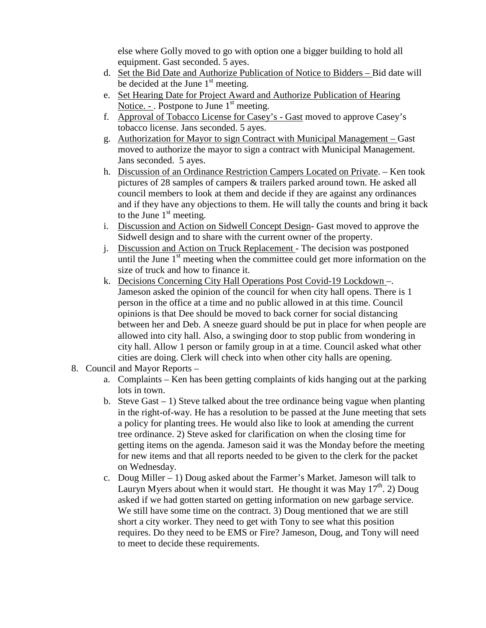else where Golly moved to go with option one a bigger building to hold all equipment. Gast seconded. 5 ayes.

- d. Set the Bid Date and Authorize Publication of Notice to Bidders Bid date will be decided at the June  $1<sup>st</sup>$  meeting.
- e. Set Hearing Date for Project Award and Authorize Publication of Hearing Notice. - . Postpone to June  $1<sup>st</sup>$  meeting.
- f. Approval of Tobacco License for Casey's Gast moved to approve Casey's tobacco license. Jans seconded. 5 ayes.
- g. Authorization for Mayor to sign Contract with Municipal Management Gast moved to authorize the mayor to sign a contract with Municipal Management. Jans seconded. 5 ayes.
- h. Discussion of an Ordinance Restriction Campers Located on Private. Ken took pictures of 28 samples of campers & trailers parked around town. He asked all council members to look at them and decide if they are against any ordinances and if they have any objections to them. He will tally the counts and bring it back to the June  $1<sup>st</sup>$  meeting.
- i. Discussion and Action on Sidwell Concept Design- Gast moved to approve the Sidwell design and to share with the current owner of the property.
- j. Discussion and Action on Truck Replacement The decision was postponed until the June  $1<sup>st</sup>$  meeting when the committee could get more information on the size of truck and how to finance it.
- k. Decisions Concerning City Hall Operations Post Covid-19 Lockdown –. Jameson asked the opinion of the council for when city hall opens. There is 1 person in the office at a time and no public allowed in at this time. Council opinions is that Dee should be moved to back corner for social distancing between her and Deb. A sneeze guard should be put in place for when people are allowed into city hall. Also, a swinging door to stop public from wondering in city hall. Allow 1 person or family group in at a time. Council asked what other cities are doing. Clerk will check into when other city halls are opening.
- 8. Council and Mayor Reports
	- a. Complaints Ken has been getting complaints of kids hanging out at the parking lots in town.
	- b. Steve Gast  $-1$ ) Steve talked about the tree ordinance being vague when planting in the right-of-way. He has a resolution to be passed at the June meeting that sets a policy for planting trees. He would also like to look at amending the current tree ordinance. 2) Steve asked for clarification on when the closing time for getting items on the agenda. Jameson said it was the Monday before the meeting for new items and that all reports needed to be given to the clerk for the packet on Wednesday.
	- c. Doug Miller  $-1$ ) Doug asked about the Farmer's Market. Jameson will talk to Lauryn Myers about when it would start. He thought it was May  $17<sup>th</sup>$ . 2) Doug asked if we had gotten started on getting information on new garbage service. We still have some time on the contract. 3) Doug mentioned that we are still short a city worker. They need to get with Tony to see what this position requires. Do they need to be EMS or Fire? Jameson, Doug, and Tony will need to meet to decide these requirements.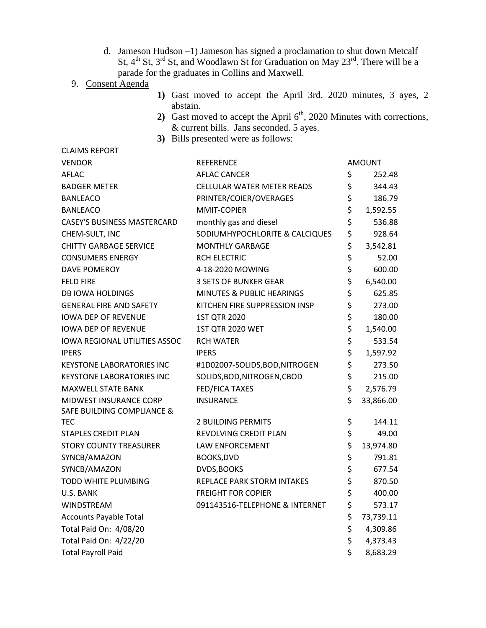d. Jameson Hudson –1) Jameson has signed a proclamation to shut down Metcalf St,  $4^{th}$  St,  $3^{rd}$  St, and Woodlawn St for Graduation on May  $23^{rd}$ . There will be a parade for the graduates in Collins and Maxwell.

## 9. Consent Agenda

CLAIMS REPORT

- **1)** Gast moved to accept the April 3rd, 2020 minutes, 3 ayes, 2 abstain.
- 2) Gast moved to accept the April  $6<sup>th</sup>$ , 2020 Minutes with corrections, & current bills. Jans seconded. 5 ayes.
- **3)** Bills presented were as follows:

| <b>VENDOR</b>                         | <b>REFERENCE</b>                  |    | <b>AMOUNT</b> |
|---------------------------------------|-----------------------------------|----|---------------|
| <b>AFLAC</b>                          | <b>AFLAC CANCER</b>               | \$ | 252.48        |
| <b>BADGER METER</b>                   | <b>CELLULAR WATER METER READS</b> | \$ | 344.43        |
| <b>BANLEACO</b>                       | PRINTER/COIER/OVERAGES            | \$ | 186.79        |
| <b>BANLEACO</b>                       | <b>MMIT-COPIER</b>                | \$ | 1,592.55      |
| <b>CASEY'S BUSINESS MASTERCARD</b>    | monthly gas and diesel            | \$ | 536.88        |
| CHEM-SULT, INC                        | SODIUMHYPOCHLORITE & CALCIQUES    | \$ | 928.64        |
| <b>CHITTY GARBAGE SERVICE</b>         | <b>MONTHLY GARBAGE</b>            | \$ | 3,542.81      |
| <b>CONSUMERS ENERGY</b>               | <b>RCH ELECTRIC</b>               | \$ | 52.00         |
| <b>DAVE POMEROY</b>                   | 4-18-2020 MOWING                  | \$ | 600.00        |
| <b>FELD FIRE</b>                      | <b>3 SETS OF BUNKER GEAR</b>      | \$ | 6,540.00      |
| <b>DB IOWA HOLDINGS</b>               | MINUTES & PUBLIC HEARINGS         | \$ | 625.85        |
| <b>GENERAL FIRE AND SAFETY</b>        | KITCHEN FIRE SUPPRESSION INSP     | \$ | 273.00        |
| <b>IOWA DEP OF REVENUE</b>            | 1ST QTR 2020                      | \$ | 180.00        |
| <b>IOWA DEP OF REVENUE</b>            | 1ST QTR 2020 WET                  | \$ | 1,540.00      |
| <b>IOWA REGIONAL UTILITIES ASSOC</b>  | <b>RCH WATER</b>                  | \$ | 533.54        |
| <b>IPERS</b>                          | <b>IPERS</b>                      | \$ | 1,597.92      |
| <b>KEYSTONE LABORATORIES INC</b>      | #1D02007-SOLIDS, BOD, NITROGEN    | \$ | 273.50        |
| <b>KEYSTONE LABORATORIES INC</b>      | SOLIDS, BOD, NITROGEN, CBOD       | \$ | 215.00        |
| <b>MAXWELL STATE BANK</b>             | <b>FED/FICA TAXES</b>             | \$ | 2,576.79      |
| MIDWEST INSURANCE CORP                | <b>INSURANCE</b>                  | \$ | 33,866.00     |
| <b>SAFE BUILDING COMPLIANCE &amp;</b> |                                   |    |               |
| <b>TEC</b>                            | 2 BUILDING PERMITS                | \$ | 144.11        |
| <b>STAPLES CREDIT PLAN</b>            | REVOLVING CREDIT PLAN             | \$ | 49.00         |
| <b>STORY COUNTY TREASURER</b>         | LAW ENFORCEMENT                   | \$ | 13,974.80     |
| SYNCB/AMAZON                          | BOOKS, DVD                        | \$ | 791.81        |
| SYNCB/AMAZON                          | DVDS, BOOKS                       | \$ | 677.54        |
| <b>TODD WHITE PLUMBING</b>            | REPLACE PARK STORM INTAKES        | \$ | 870.50        |
| U.S. BANK                             | <b>FREIGHT FOR COPIER</b>         | \$ | 400.00        |
| WINDSTREAM                            | 091143516-TELEPHONE & INTERNET    | \$ | 573.17        |
| <b>Accounts Payable Total</b>         |                                   | \$ | 73,739.11     |
| Total Paid On: 4/08/20                |                                   | \$ | 4,309.86      |
| Total Paid On: 4/22/20                |                                   | \$ | 4,373.43      |
| <b>Total Payroll Paid</b>             |                                   | Ś  | 8,683.29      |